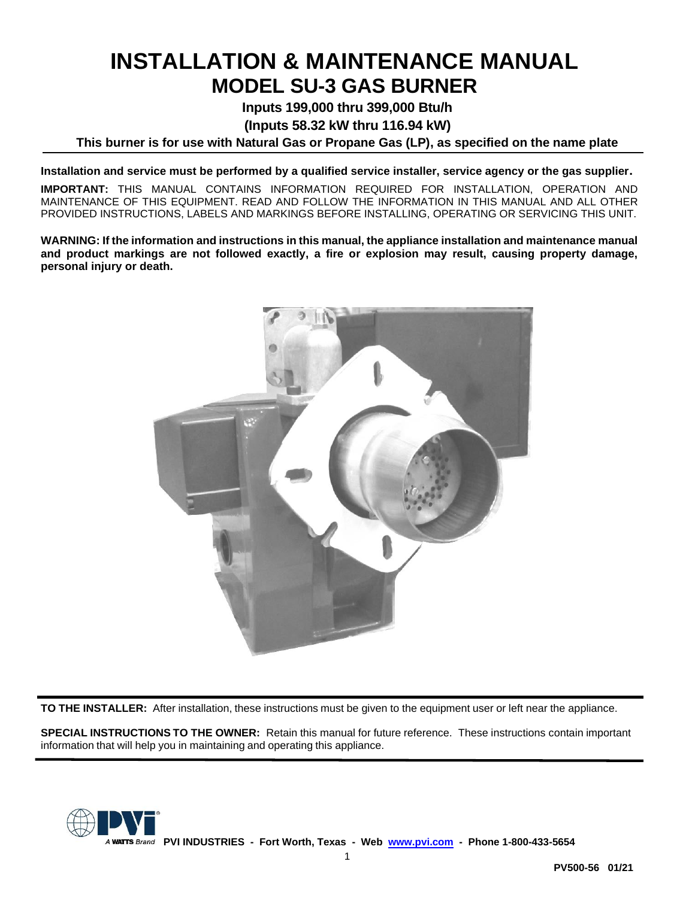# **INSTALLATION & MAINTENANCE MANUAL MODEL SU-3 GAS BURNER**

**Inputs 199,000 thru 399,000 Btu/h**

**(Inputs 58.32 kW thru 116.94 kW)**

**This burner is for use with Natural Gas or Propane Gas (LP), as specified on the name plate**

**Installation and service must be performed by a qualified service installer, service agency or the gas supplier.**

**IMPORTANT:** THIS MANUAL CONTAINS INFORMATION REQUIRED FOR INSTALLATION, OPERATION AND MAINTENANCE OF THIS EQUIPMENT. READ AND FOLLOW THE INFORMATION IN THIS MANUAL AND ALL OTHER PROVIDED INSTRUCTIONS, LABELS AND MARKINGS BEFORE INSTALLING, OPERATING OR SERVICING THIS UNIT.

**WARNING: If the information and instructions in this manual, the appliance installation and maintenance manual and product markings are not followed exactly, a fire or explosion may result, causing property damage, personal injury or death.**



**TO THE INSTALLER:** After installation, these instructions must be given to the equipment user or left near the appliance.

**SPECIAL INSTRUCTIONS TO THE OWNER:** Retain this manual for future reference. These instructions contain important information that will help you in maintaining and operating this appliance.

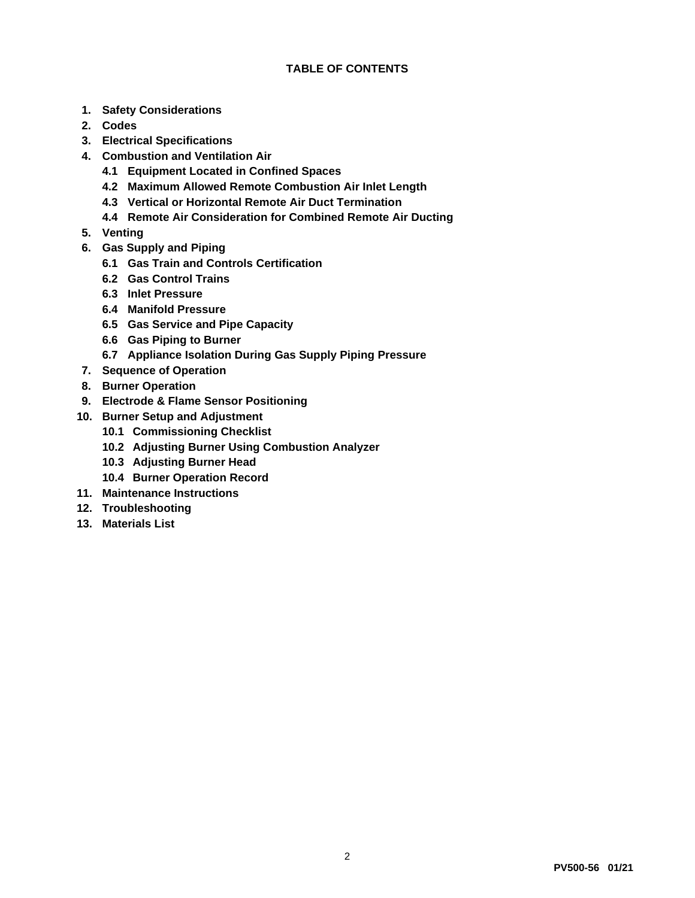- **1. Safety Considerations**
- **2. Codes**
- **3. Electrical Specifications**
- **4. Combustion and Ventilation Air**
	- **4.1 Equipment Located in Confined Spaces**
	- **4.2 Maximum Allowed Remote Combustion Air Inlet Length**
	- **4.3 Vertical or Horizontal Remote Air Duct Termination**
	- **4.4 Remote Air Consideration for Combined Remote Air Ducting**
- **5. Venting**
- **6. Gas Supply and Piping**
	- **6.1 Gas Train and Controls Certification**
	- **6.2 Gas Control Trains**
	- **6.3 Inlet Pressure**
	- **6.4 Manifold Pressure**
	- **6.5 Gas Service and Pipe Capacity**
	- **6.6 Gas Piping to Burner**
	- **6.7 Appliance Isolation During Gas Supply Piping Pressure**
- **7. Sequence of Operation**
- **8. Burner Operation**
- **9. Electrode & Flame Sensor Positioning**
- **10. Burner Setup and Adjustment**
	- **10.1 Commissioning Checklist**
	- **10.2 Adjusting Burner Using Combustion Analyzer**
	- **10.3 Adjusting Burner Head**
	- **10.4 Burner Operation Record**
- **11. Maintenance Instructions**
- **12. Troubleshooting**
- **13. Materials List**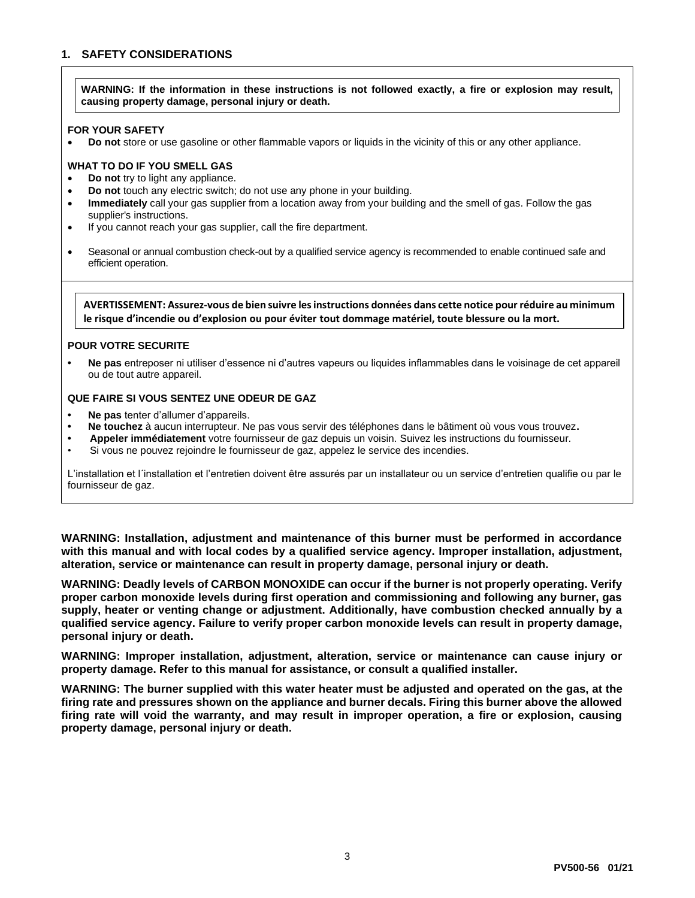## **1. SAFETY CONSIDERATIONS**

**WARNING: If the information in these instructions is not followed exactly, a fire or explosion may result, causing property damage, personal injury or death.**

#### **FOR YOUR SAFETY**

• **Do not** store or use gasoline or other flammable vapors or liquids in the vicinity of this or any other appliance.

#### **WHAT TO DO IF YOU SMELL GAS**

- **Do not** try to light any appliance.
- **Do not** touch any electric switch; do not use any phone in your building.
- **Immediately** call your gas supplier from a location away from your building and the smell of gas. Follow the gas supplier's instructions.
- If you cannot reach your gas supplier, call the fire department.
- Seasonal or annual combustion check-out by a qualified service agency is recommended to enable continued safe and efficient operation.

**AVERTISSEMENT: Assurez-vous de bien suivre les instructions données dans cette notice pour réduire au minimum le risque d'incendie ou d'explosion ou pour éviter tout dommage matériel, toute blessure ou la mort.**

#### **POUR VOTRE SECURITE**

**• Ne pas** entreposer ni utiliser d'essence ni d'autres vapeurs ou liquides inflammables dans le voisinage de cet appareil ou de tout autre appareil.

#### **QUE FAIRE SI VOUS SENTEZ UNE ODEUR DE GAZ**

- **• Ne pas** tenter d'allumer d'appareils.
- **• Ne touchez** à aucun interrupteur. Ne pas vous servir des téléphones dans le bâtiment où vous vous trouvez**.**
- **• Appeler immédiatement** votre fournisseur de gaz depuis un voisin. Suivez les instructions du fournisseur.
- Si vous ne pouvez rejoindre le fournisseur de gaz, appelez le service des incendies.

L'installation et l´installation et l'entretien doivent être assurés par un installateur ou un service d'entretien qualifie ou par le fournisseur de gaz.

**WARNING: Installation, adjustment and maintenance of this burner must be performed in accordance with this manual and with local codes by a qualified service agency. Improper installation, adjustment, alteration, service or maintenance can result in property damage, personal injury or death.**

**WARNING: Deadly levels of CARBON MONOXIDE can occur if the burner is not properly operating. Verify proper carbon monoxide levels during first operation and commissioning and following any burner, gas supply, heater or venting change or adjustment. Additionally, have combustion checked annually by a qualified service agency. Failure to verify proper carbon monoxide levels can result in property damage, personal injury or death.**

**WARNING: Improper installation, adjustment, alteration, service or maintenance can cause injury or property damage. Refer to this manual for assistance, or consult a qualified installer.**

**WARNING: The burner supplied with this water heater must be adjusted and operated on the gas, at the firing rate and pressures shown on the appliance and burner decals. Firing this burner above the allowed firing rate will void the warranty, and may result in improper operation, a fire or explosion, causing property damage, personal injury or death.**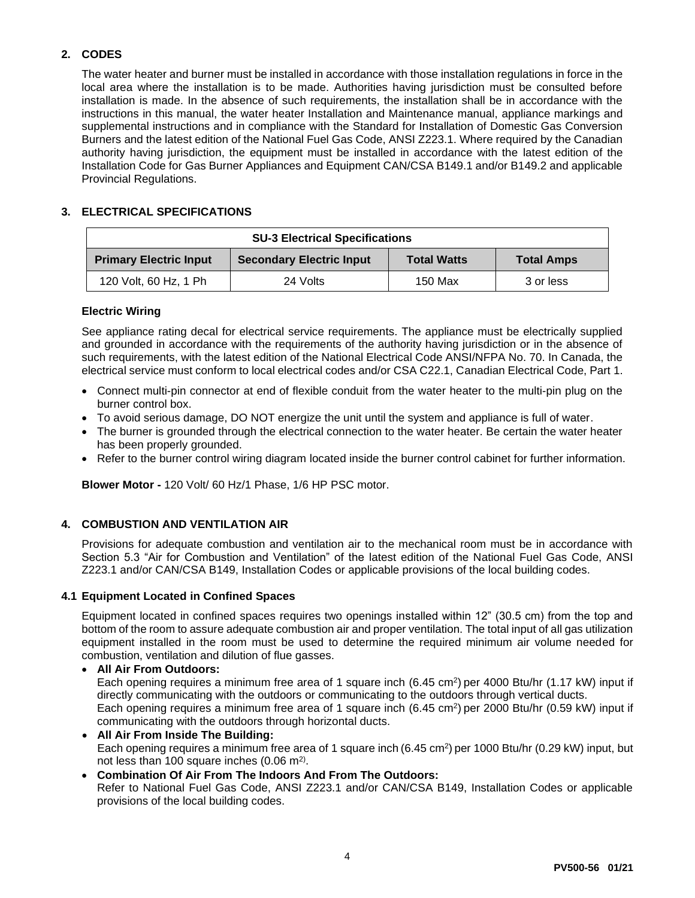# **2. CODES**

The water heater and burner must be installed in accordance with those installation regulations in force in the local area where the installation is to be made. Authorities having jurisdiction must be consulted before installation is made. In the absence of such requirements, the installation shall be in accordance with the instructions in this manual, the water heater Installation and Maintenance manual, appliance markings and supplemental instructions and in compliance with the Standard for Installation of Domestic Gas Conversion Burners and the latest edition of the National Fuel Gas Code, ANSI Z223.1. Where required by the Canadian authority having jurisdiction, the equipment must be installed in accordance with the latest edition of the Installation Code for Gas Burner Appliances and Equipment CAN/CSA B149.1 and/or B149.2 and applicable Provincial Regulations.

## **3. ELECTRICAL SPECIFICATIONS**

| <b>SU-3 Electrical Specifications</b> |                                 |                    |                   |
|---------------------------------------|---------------------------------|--------------------|-------------------|
| <b>Primary Electric Input</b>         | <b>Secondary Electric Input</b> | <b>Total Watts</b> | <b>Total Amps</b> |
| 120 Volt, 60 Hz, 1 Ph                 | 24 Volts                        | 150 Max            | 3 or less         |

## **Electric Wiring**

See appliance rating decal for electrical service requirements. The appliance must be electrically supplied and grounded in accordance with the requirements of the authority having jurisdiction or in the absence of such requirements, with the latest edition of the National Electrical Code ANSI/NFPA No. 70. In Canada, the electrical service must conform to local electrical codes and/or CSA C22.1, Canadian Electrical Code, Part 1.

- Connect multi-pin connector at end of flexible conduit from the water heater to the multi-pin plug on the burner control box.
- To avoid serious damage, DO NOT energize the unit until the system and appliance is full of water.
- The burner is grounded through the electrical connection to the water heater. Be certain the water heater has been properly grounded.
- Refer to the burner control wiring diagram located inside the burner control cabinet for further information.

**Blower Motor -** 120 Volt/ 60 Hz/1 Phase, 1/6 HP PSC motor.

# **4. COMBUSTION AND VENTILATION AIR**

Provisions for adequate combustion and ventilation air to the mechanical room must be in accordance with Section 5.3 "Air for Combustion and Ventilation" of the latest edition of the National Fuel Gas Code, ANSI Z223.1 and/or CAN/CSA B149, Installation Codes or applicable provisions of the local building codes.

## **4.1 Equipment Located in Confined Spaces**

Equipment located in confined spaces requires two openings installed within 12" (30.5 cm) from the top and bottom of the room to assure adequate combustion air and proper ventilation. The total input of all gas utilization equipment installed in the room must be used to determine the required minimum air volume needed for combustion, ventilation and dilution of flue gasses.

## • **All Air From Outdoors:**

Each opening requires a minimum free area of 1 square inch (6.45 cm<sup>2</sup>) per 4000 Btu/hr (1.17 kW) input if directly communicating with the outdoors or communicating to the outdoors through vertical ducts. Each opening requires a minimum free area of 1 square inch (6.45 cm<sup>2</sup>) per 2000 Btu/hr (0.59 kW) input if communicating with the outdoors through horizontal ducts.

- **All Air From Inside The Building:** Each opening requires a minimum free area of 1 square inch (6.45 cm<sup>2</sup>) per 1000 Btu/hr (0.29 kW) input, but not less than 100 square inches  $(0.06 \text{ m}^2)$ .
- **Combination Of Air From The Indoors And From The Outdoors:** Refer to National Fuel Gas Code, ANSI Z223.1 and/or CAN/CSA B149, Installation Codes or applicable provisions of the local building codes.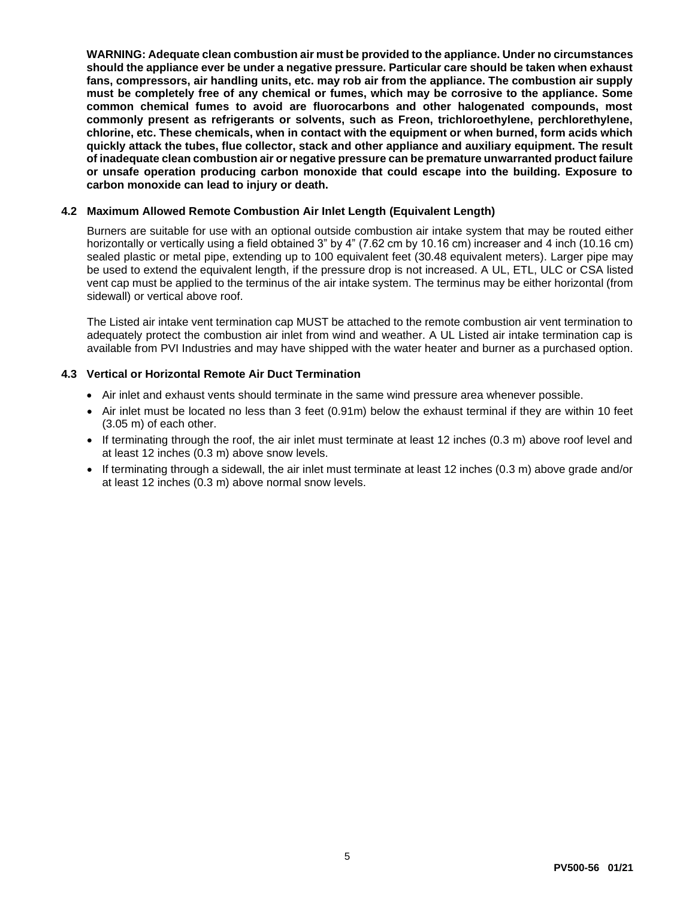**WARNING: Adequate clean combustion air must be provided to the appliance. Under no circumstances should the appliance ever be under a negative pressure. Particular care should be taken when exhaust fans, compressors, air handling units, etc. may rob air from the appliance. The combustion air supply must be completely free of any chemical or fumes, which may be corrosive to the appliance. Some common chemical fumes to avoid are fluorocarbons and other halogenated compounds, most commonly present as refrigerants or solvents, such as Freon, trichloroethylene, perchlorethylene, chlorine, etc. These chemicals, when in contact with the equipment or when burned, form acids which quickly attack the tubes, flue collector, stack and other appliance and auxiliary equipment. The result of inadequate clean combustion air or negative pressure can be premature unwarranted product failure or unsafe operation producing carbon monoxide that could escape into the building. Exposure to carbon monoxide can lead to injury or death.**

#### **4.2 Maximum Allowed Remote Combustion Air Inlet Length (Equivalent Length)**

Burners are suitable for use with an optional outside combustion air intake system that may be routed either horizontally or vertically using a field obtained 3" by 4" (7.62 cm by 10.16 cm) increaser and 4 inch (10.16 cm) sealed plastic or metal pipe, extending up to 100 equivalent feet (30.48 equivalent meters). Larger pipe may be used to extend the equivalent length, if the pressure drop is not increased. A UL, ETL, ULC or CSA listed vent cap must be applied to the terminus of the air intake system. The terminus may be either horizontal (from sidewall) or vertical above roof.

The Listed air intake vent termination cap MUST be attached to the remote combustion air vent termination to adequately protect the combustion air inlet from wind and weather. A UL Listed air intake termination cap is available from PVI Industries and may have shipped with the water heater and burner as a purchased option.

#### **4.3 Vertical or Horizontal Remote Air Duct Termination**

- Air inlet and exhaust vents should terminate in the same wind pressure area whenever possible.
- Air inlet must be located no less than 3 feet (0.91m) below the exhaust terminal if they are within 10 feet (3.05 m) of each other.
- If terminating through the roof, the air inlet must terminate at least 12 inches (0.3 m) above roof level and at least 12 inches (0.3 m) above snow levels.
- If terminating through a sidewall, the air inlet must terminate at least 12 inches (0.3 m) above grade and/or at least 12 inches (0.3 m) above normal snow levels.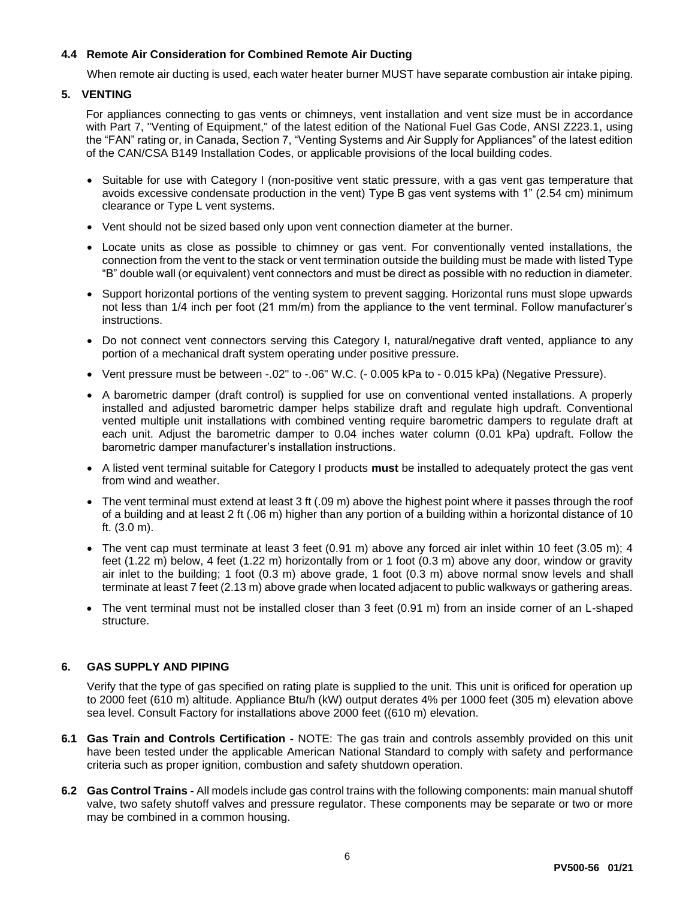## **4.4 Remote Air Consideration for Combined Remote Air Ducting**

When remote air ducting is used, each water heater burner MUST have separate combustion air intake piping.

## **5. VENTING**

For appliances connecting to gas vents or chimneys, vent installation and vent size must be in accordance with Part 7, "Venting of Equipment," of the latest edition of the National Fuel Gas Code, ANSI Z223.1, using the "FAN" rating or, in Canada, Section 7, "Venting Systems and Air Supply for Appliances" of the latest edition of the CAN/CSA B149 Installation Codes, or applicable provisions of the local building codes.

- Suitable for use with Category I (non-positive vent static pressure, with a gas vent gas temperature that avoids excessive condensate production in the vent) Type B gas vent systems with 1" (2.54 cm) minimum clearance or Type L vent systems.
- Vent should not be sized based only upon vent connection diameter at the burner.
- Locate units as close as possible to chimney or gas vent. For conventionally vented installations, the connection from the vent to the stack or vent termination outside the building must be made with listed Type "B" double wall (or equivalent) vent connectors and must be direct as possible with no reduction in diameter.
- Support horizontal portions of the venting system to prevent sagging. Horizontal runs must slope upwards not less than 1/4 inch per foot (21 mm/m) from the appliance to the vent terminal. Follow manufacturer's instructions.
- Do not connect vent connectors serving this Category I, natural/negative draft vented, appliance to any portion of a mechanical draft system operating under positive pressure.
- Vent pressure must be between -.02" to -.06" W.C. (- 0.005 kPa to 0.015 kPa) (Negative Pressure).
- A barometric damper (draft control) is supplied for use on conventional vented installations. A properly installed and adjusted barometric damper helps stabilize draft and regulate high updraft. Conventional vented multiple unit installations with combined venting require barometric dampers to regulate draft at each unit. Adjust the barometric damper to 0.04 inches water column (0.01 kPa) updraft. Follow the barometric damper manufacturer's installation instructions.
- A listed vent terminal suitable for Category I products **must** be installed to adequately protect the gas vent from wind and weather.
- The vent terminal must extend at least 3 ft (.09 m) above the highest point where it passes through the roof of a building and at least 2 ft (.06 m) higher than any portion of a building within a horizontal distance of 10 ft. (3.0 m).
- The vent cap must terminate at least 3 feet (0.91 m) above any forced air inlet within 10 feet (3.05 m); 4 feet (1.22 m) below, 4 feet (1.22 m) horizontally from or 1 foot (0.3 m) above any door, window or gravity air inlet to the building; 1 foot (0.3 m) above grade, 1 foot (0.3 m) above normal snow levels and shall terminate at least 7 feet (2.13 m) above grade when located adjacent to public walkways or gathering areas.
- The vent terminal must not be installed closer than 3 feet (0.91 m) from an inside corner of an L-shaped structure.

## **6. GAS SUPPLY AND PIPING**

Verify that the type of gas specified on rating plate is supplied to the unit. This unit is orificed for operation up to 2000 feet (610 m) altitude. Appliance Btu/h (kW) output derates 4% per 1000 feet (305 m) elevation above sea level. Consult Factory for installations above 2000 feet ((610 m) elevation.

- **6.1 Gas Train and Controls Certification -** NOTE: The gas train and controls assembly provided on this unit have been tested under the applicable American National Standard to comply with safety and performance criteria such as proper ignition, combustion and safety shutdown operation.
- **6.2 Gas Control Trains -** All models include gas control trains with the following components: main manual shutoff valve, two safety shutoff valves and pressure regulator. These components may be separate or two or more may be combined in a common housing.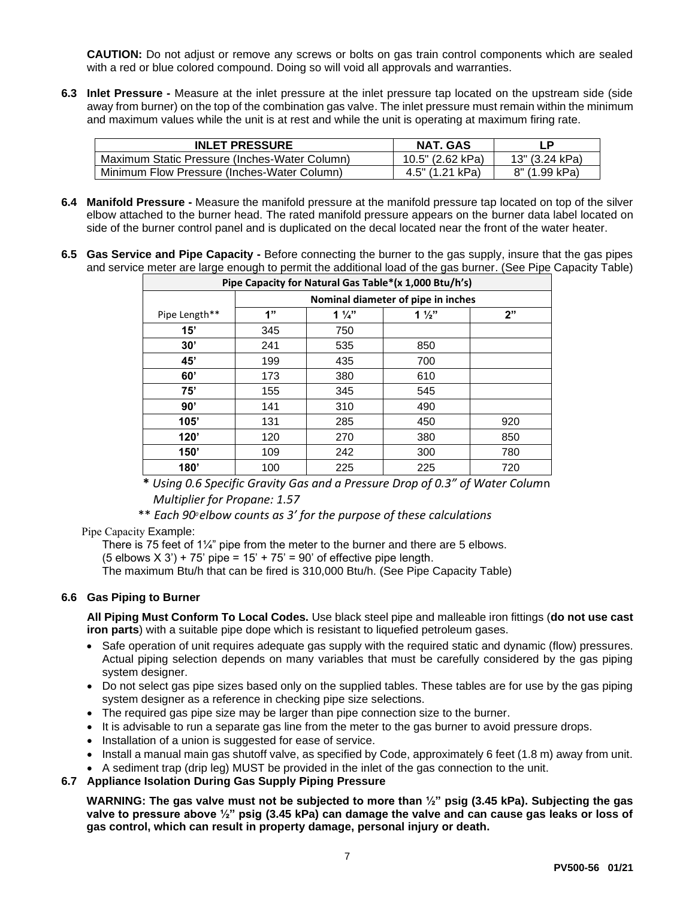**CAUTION:** Do not adjust or remove any screws or bolts on gas train control components which are sealed with a red or blue colored compound. Doing so will void all approvals and warranties.

**6.3 Inlet Pressure -** Measure at the inlet pressure at the inlet pressure tap located on the upstream side (side away from burner) on the top of the combination gas valve. The inlet pressure must remain within the minimum and maximum values while the unit is at rest and while the unit is operating at maximum firing rate.

| <b>INLET PRESSURE</b>                         | NAT. GAS         | ΙP             |
|-----------------------------------------------|------------------|----------------|
| Maximum Static Pressure (Inches-Water Column) | 10.5" (2.62 kPa) | 13" (3.24 kPa) |
| Minimum Flow Pressure (Inches-Water Column)   | 4.5" (1.21 kPa)  | 8" (1.99 kPa)  |

- **6.4 Manifold Pressure -** Measure the manifold pressure at the manifold pressure tap located on top of the silver elbow attached to the burner head. The rated manifold pressure appears on the burner data label located on side of the burner control panel and is duplicated on the decal located near the front of the water heater.
- **6.5 Gas Service and Pipe Capacity -** Before connecting the burner to the gas supply, insure that the gas pipes and service meter are large enough to permit the additional load of the gas burner. (See Pipe Capacity Table)

| Pipe Capacity for Natural Gas Table*(x 1,000 Btu/h's) |                                    |                |                |     |
|-------------------------------------------------------|------------------------------------|----------------|----------------|-----|
|                                                       | Nominal diameter of pipe in inches |                |                |     |
| Pipe Length**                                         | 1"                                 | $1\frac{1}{4}$ | $1\frac{1}{2}$ | 2"  |
| 15'                                                   | 345                                | 750            |                |     |
| 30'                                                   | 241                                | 535            | 850            |     |
| 45'                                                   | 199                                | 435            | 700            |     |
| 60'                                                   | 173                                | 380            | 610            |     |
| 75'                                                   | 155                                | 345            | 545            |     |
| 90'                                                   | 141                                | 310            | 490            |     |
| 105'                                                  | 131                                | 285            | 450            | 920 |
| 120'                                                  | 120                                | 270            | 380            | 850 |
| 150'                                                  | 109                                | 242            | 300            | 780 |
| 180'                                                  | 100                                | 225            | 225            | 720 |

**\*** *Using 0.6 Specific Gravity Gas and a Pressure Drop of 0.3" of Water Colum*n *Multiplier for Propane: 1.57*

\*\* *Each 900 elbow counts as 3' for the purpose of these calculations*

#### Pipe Capacity Example:

There is 75 feet of 1 $\frac{1}{4}$ " pipe from the meter to the burner and there are 5 elbows.  $(5$  elbows  $X$  3' $)$  + 75' pipe = 15' + 75' = 90' of effective pipe length. The maximum Btu/h that can be fired is 310,000 Btu/h. (See Pipe Capacity Table)

## **6.6 Gas Piping to Burner**

**All Piping Must Conform To Local Codes.** Use black steel pipe and malleable iron fittings (**do not use cast iron parts**) with a suitable pipe dope which is resistant to liquefied petroleum gases.

- Safe operation of unit requires adequate gas supply with the required static and dynamic (flow) pressures. Actual piping selection depends on many variables that must be carefully considered by the gas piping system designer.
- Do not select gas pipe sizes based only on the supplied tables. These tables are for use by the gas piping system designer as a reference in checking pipe size selections.
- The required gas pipe size may be larger than pipe connection size to the burner.
- It is advisable to run a separate gas line from the meter to the gas burner to avoid pressure drops.
- Installation of a union is suggested for ease of service.
- Install a manual main gas shutoff valve, as specified by Code, approximately 6 feet (1.8 m) away from unit.
- A sediment trap (drip leg) MUST be provided in the inlet of the gas connection to the unit.
- **6.7 Appliance Isolation During Gas Supply Piping Pressure**

**WARNING: The gas valve must not be subjected to more than ½" psig (3.45 kPa). Subjecting the gas valve to pressure above ½" psig (3.45 kPa) can damage the valve and can cause gas leaks or loss of gas control, which can result in property damage, personal injury or death.**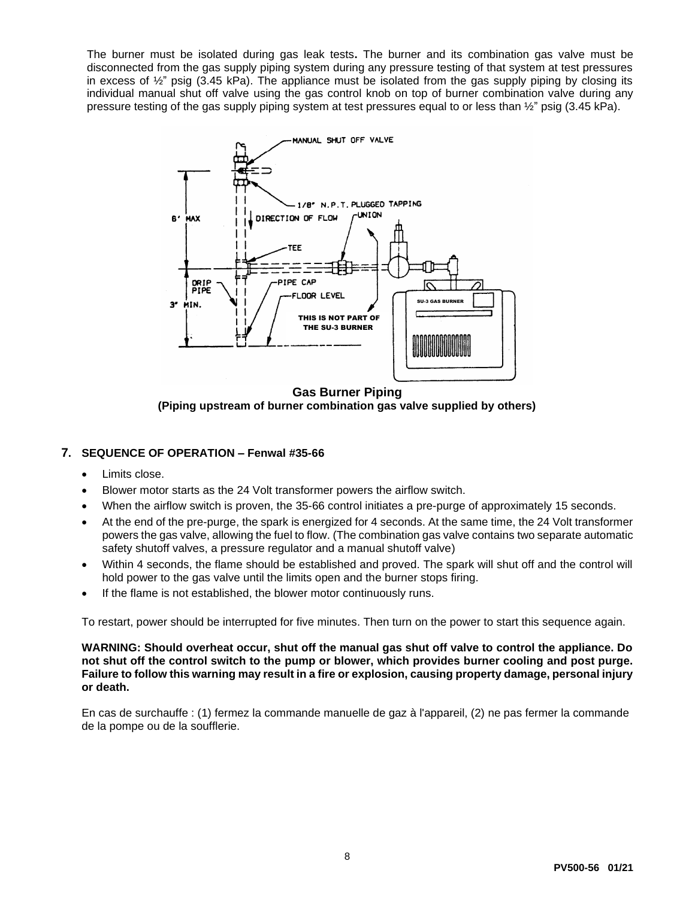The burner must be isolated during gas leak tests**.** The burner and its combination gas valve must be disconnected from the gas supply piping system during any pressure testing of that system at test pressures in excess of  $\frac{1}{2}$ " psig (3.45 kPa). The appliance must be isolated from the gas supply piping by closing its individual manual shut off valve using the gas control knob on top of burner combination valve during any pressure testing of the gas supply piping system at test pressures equal to or less than ½" psig (3.45 kPa).



**Gas Burner Piping (Piping upstream of burner combination gas valve supplied by others)**

## **7. SEQUENCE OF OPERATION – Fenwal #35-66**

- Limits close.
- Blower motor starts as the 24 Volt transformer powers the airflow switch.
- When the airflow switch is proven, the 35-66 control initiates a pre-purge of approximately 15 seconds.
- At the end of the pre-purge, the spark is energized for 4 seconds. At the same time, the 24 Volt transformer powers the gas valve, allowing the fuel to flow. (The combination gas valve contains two separate automatic safety shutoff valves, a pressure regulator and a manual shutoff valve)
- Within 4 seconds, the flame should be established and proved. The spark will shut off and the control will hold power to the gas valve until the limits open and the burner stops firing.
- If the flame is not established, the blower motor continuously runs.

To restart, power should be interrupted for five minutes. Then turn on the power to start this sequence again.

**WARNING: Should overheat occur, shut off the manual gas shut off valve to control the appliance. Do not shut off the control switch to the pump or blower, which provides burner cooling and post purge. Failure to follow this warning may result in a fire or explosion, causing property damage, personal injury or death.**

En cas de surchauffe : (1) fermez la commande manuelle de gaz à l'appareil, (2) ne pas fermer la commande de la pompe ou de la soufflerie.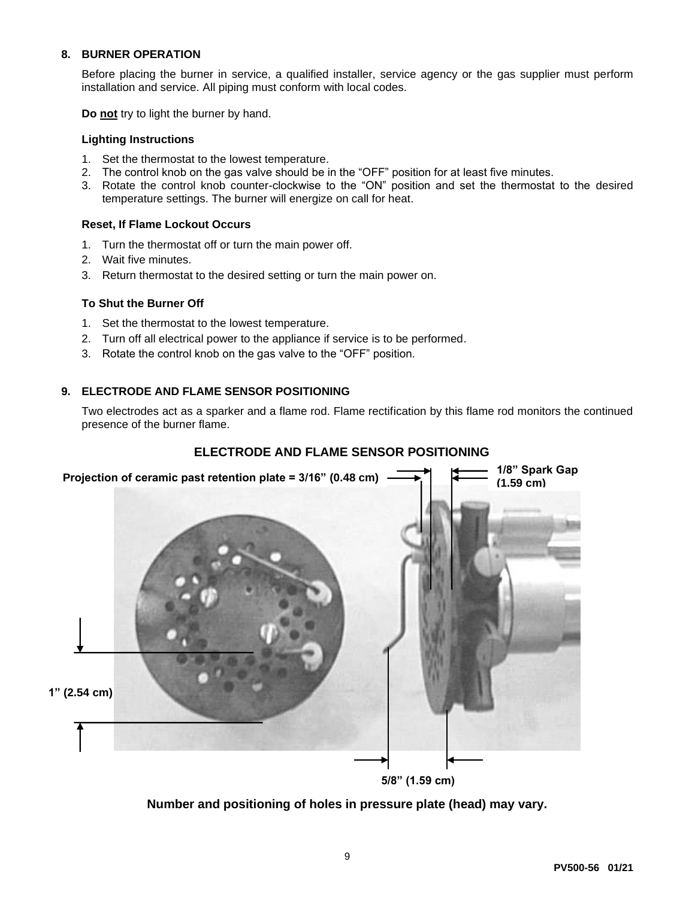## **8. BURNER OPERATION**

Before placing the burner in service, a qualified installer, service agency or the gas supplier must perform installation and service. All piping must conform with local codes.

**Do not** try to light the burner by hand.

#### **Lighting Instructions**

- 1. Set the thermostat to the lowest temperature.
- 2. The control knob on the gas valve should be in the "OFF" position for at least five minutes.
- 3. Rotate the control knob counter-clockwise to the "ON" position and set the thermostat to the desired temperature settings. The burner will energize on call for heat.

#### **Reset, If Flame Lockout Occurs**

- 1. Turn the thermostat off or turn the main power off.
- 2. Wait five minutes.
- 3. Return thermostat to the desired setting or turn the main power on.

#### **To Shut the Burner Off**

- 1. Set the thermostat to the lowest temperature.
- 2. Turn off all electrical power to the appliance if service is to be performed.
- 3. Rotate the control knob on the gas valve to the "OFF" position.

#### **9. ELECTRODE AND FLAME SENSOR POSITIONING**

Two electrodes act as a sparker and a flame rod. Flame rectification by this flame rod monitors the continued presence of the burner flame.

## **ELECTRODE AND FLAME SENSOR POSITIONING**



**Number and positioning of holes in pressure plate (head) may vary.**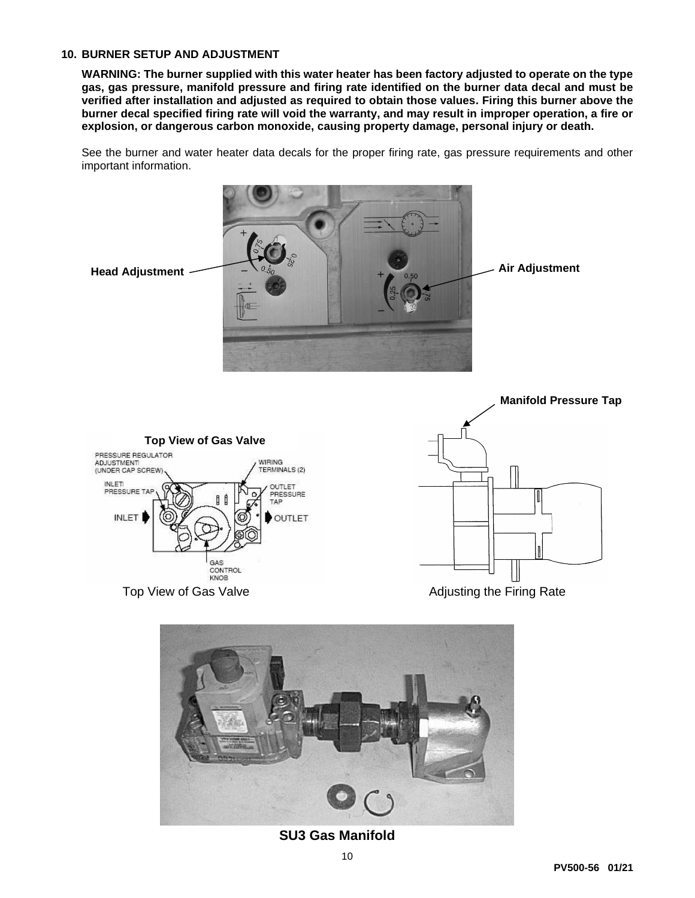#### **10. BURNER SETUP AND ADJUSTMENT**

**Top View of Gas Valve**

GAS CONTROL KNOB

WIRING<br>TERMINALS (2)

**OUTLET** PRESSURE TAP

OUTLET

PRESSURE REGULATOR

**ADJUSTMENT** (UNDER CAP SCREW INLET<br>PRESSURE

**INLET** 

**WARNING: The burner supplied with this water heater has been factory adjusted to operate on the type gas, gas pressure, manifold pressure and firing rate identified on the burner data decal and must be verified after installation and adjusted as required to obtain those values. Firing this burner above the burner decal specified firing rate will void the warranty, and may result in improper operation, a fire or explosion, or dangerous carbon monoxide, causing property damage, personal injury or death.**

See the burner and water heater data decals for the proper firing rate, gas pressure requirements and other important information.







**SU3 Gas Manifold**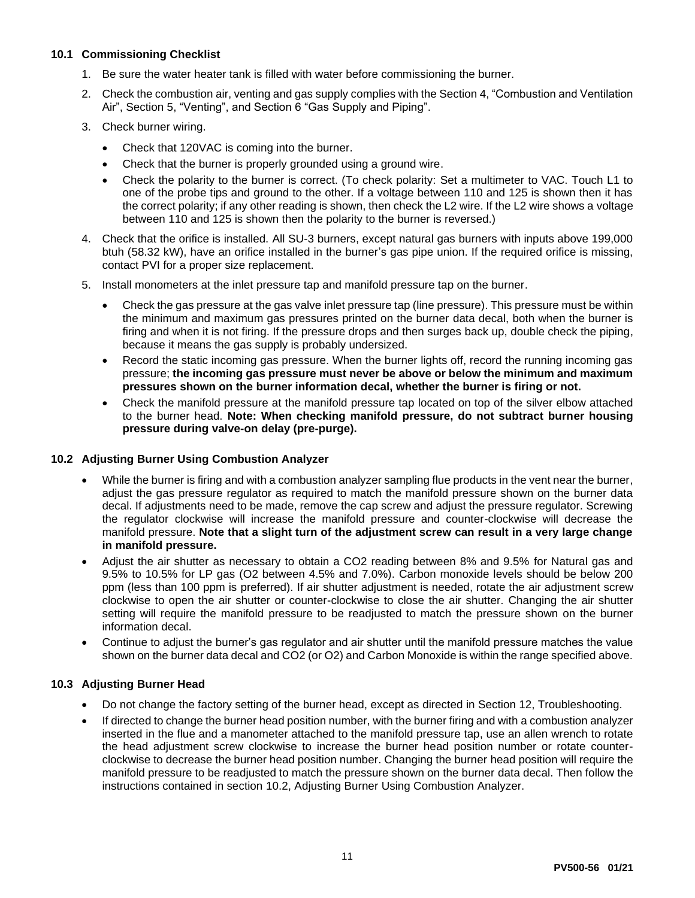## **10.1 Commissioning Checklist**

- 1. Be sure the water heater tank is filled with water before commissioning the burner.
- 2. Check the combustion air, venting and gas supply complies with the Section 4, "Combustion and Ventilation Air", Section 5, "Venting", and Section 6 "Gas Supply and Piping".
- 3. Check burner wiring.
	- Check that 120VAC is coming into the burner.
	- Check that the burner is properly grounded using a ground wire.
	- Check the polarity to the burner is correct. (To check polarity: Set a multimeter to VAC. Touch L1 to one of the probe tips and ground to the other. If a voltage between 110 and 125 is shown then it has the correct polarity; if any other reading is shown, then check the L2 wire. If the L2 wire shows a voltage between 110 and 125 is shown then the polarity to the burner is reversed.)
- 4. Check that the orifice is installed. All SU-3 burners, except natural gas burners with inputs above 199,000 btuh (58.32 kW), have an orifice installed in the burner's gas pipe union. If the required orifice is missing, contact PVI for a proper size replacement.
- 5. Install monometers at the inlet pressure tap and manifold pressure tap on the burner.
	- Check the gas pressure at the gas valve inlet pressure tap (line pressure). This pressure must be within the minimum and maximum gas pressures printed on the burner data decal, both when the burner is firing and when it is not firing. If the pressure drops and then surges back up, double check the piping, because it means the gas supply is probably undersized.
	- Record the static incoming gas pressure. When the burner lights off, record the running incoming gas pressure; **the incoming gas pressure must never be above or below the minimum and maximum pressures shown on the burner information decal, whether the burner is firing or not.**
	- Check the manifold pressure at the manifold pressure tap located on top of the silver elbow attached to the burner head. **Note: When checking manifold pressure, do not subtract burner housing pressure during valve-on delay (pre-purge).**

#### **10.2 Adjusting Burner Using Combustion Analyzer**

- While the burner is firing and with a combustion analyzer sampling flue products in the vent near the burner, adjust the gas pressure regulator as required to match the manifold pressure shown on the burner data decal. If adjustments need to be made, remove the cap screw and adjust the pressure regulator. Screwing the regulator clockwise will increase the manifold pressure and counter-clockwise will decrease the manifold pressure. **Note that a slight turn of the adjustment screw can result in a very large change in manifold pressure.**
- Adjust the air shutter as necessary to obtain a CO2 reading between 8% and 9.5% for Natural gas and 9.5% to 10.5% for LP gas (O2 between 4.5% and 7.0%). Carbon monoxide levels should be below 200 ppm (less than 100 ppm is preferred). If air shutter adjustment is needed, rotate the air adjustment screw clockwise to open the air shutter or counter-clockwise to close the air shutter. Changing the air shutter setting will require the manifold pressure to be readjusted to match the pressure shown on the burner information decal.
- Continue to adjust the burner's gas regulator and air shutter until the manifold pressure matches the value shown on the burner data decal and CO2 (or O2) and Carbon Monoxide is within the range specified above.

## **10.3 Adjusting Burner Head**

- Do not change the factory setting of the burner head, except as directed in Section 12, Troubleshooting.
- If directed to change the burner head position number, with the burner firing and with a combustion analyzer inserted in the flue and a manometer attached to the manifold pressure tap, use an allen wrench to rotate the head adjustment screw clockwise to increase the burner head position number or rotate counterclockwise to decrease the burner head position number. Changing the burner head position will require the manifold pressure to be readjusted to match the pressure shown on the burner data decal. Then follow the instructions contained in section 10.2, Adjusting Burner Using Combustion Analyzer.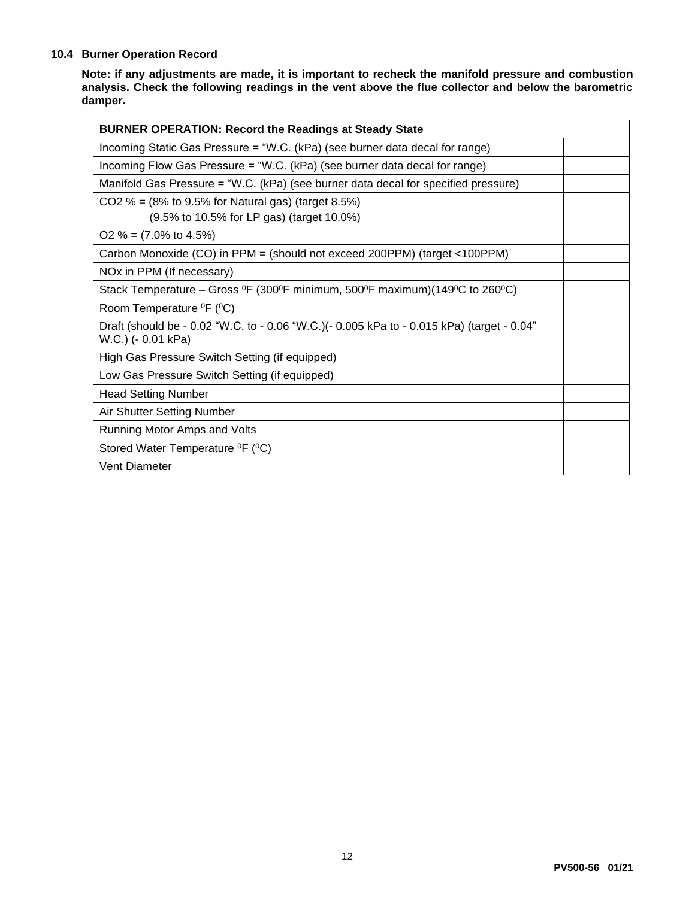#### **10.4 Burner Operation Record**

**Note: if any adjustments are made, it is important to recheck the manifold pressure and combustion analysis. Check the following readings in the vent above the flue collector and below the barometric damper.**

| <b>BURNER OPERATION: Record the Readings at Steady State</b>                                                                                |  |  |  |
|---------------------------------------------------------------------------------------------------------------------------------------------|--|--|--|
| Incoming Static Gas Pressure = "W.C. (kPa) (see burner data decal for range)                                                                |  |  |  |
| Incoming Flow Gas Pressure = "W.C. (kPa) (see burner data decal for range)                                                                  |  |  |  |
| Manifold Gas Pressure = "W.C. (kPa) (see burner data decal for specified pressure)                                                          |  |  |  |
| CO2 % = $(8\% \text{ to } 9.5\% \text{ for Natural gas})$ (target 8.5%)                                                                     |  |  |  |
| (9.5% to 10.5% for LP gas) (target 10.0%)                                                                                                   |  |  |  |
| $O2 \% = (7.0\% \text{ to } 4.5\%)$                                                                                                         |  |  |  |
| Carbon Monoxide (CO) in PPM = (should not exceed 200PPM) (target <100PPM)                                                                   |  |  |  |
| NO <sub>x</sub> in PPM (If necessary)                                                                                                       |  |  |  |
| Stack Temperature – Gross <sup>o</sup> F (300 <sup>o</sup> F minimum, 500 <sup>o</sup> F maximum)(149 <sup>o</sup> C to 260 <sup>o</sup> C) |  |  |  |
| Room Temperature <sup>o</sup> F ( <sup>o</sup> C)                                                                                           |  |  |  |
| Draft (should be - 0.02 "W.C. to - 0.06 "W.C.)(- 0.005 kPa to - 0.015 kPa) (target - 0.04"<br>W.C.) (- 0.01 kPa)                            |  |  |  |
| High Gas Pressure Switch Setting (if equipped)                                                                                              |  |  |  |
| Low Gas Pressure Switch Setting (if equipped)                                                                                               |  |  |  |
| <b>Head Setting Number</b>                                                                                                                  |  |  |  |
| Air Shutter Setting Number                                                                                                                  |  |  |  |
| Running Motor Amps and Volts                                                                                                                |  |  |  |
| Stored Water Temperature <sup>0</sup> F ( <sup>0</sup> C)                                                                                   |  |  |  |
| <b>Vent Diameter</b>                                                                                                                        |  |  |  |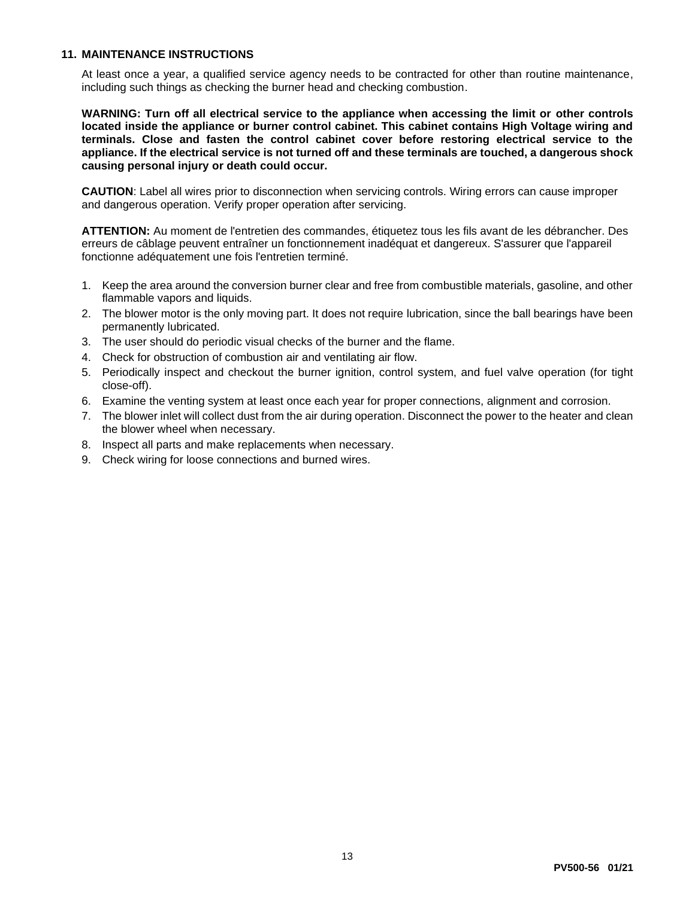#### **11. MAINTENANCE INSTRUCTIONS**

At least once a year, a qualified service agency needs to be contracted for other than routine maintenance, including such things as checking the burner head and checking combustion.

**WARNING: Turn off all electrical service to the appliance when accessing the limit or other controls located inside the appliance or burner control cabinet. This cabinet contains High Voltage wiring and terminals. Close and fasten the control cabinet cover before restoring electrical service to the appliance. If the electrical service is not turned off and these terminals are touched, a dangerous shock causing personal injury or death could occur.**

**CAUTION**: Label all wires prior to disconnection when servicing controls. Wiring errors can cause improper and dangerous operation. Verify proper operation after servicing.

**ATTENTION:** Au moment de l'entretien des commandes, étiquetez tous les fils avant de les débrancher. Des erreurs de câblage peuvent entraîner un fonctionnement inadéquat et dangereux. S'assurer que l'appareil fonctionne adéquatement une fois l'entretien terminé.

- 1. Keep the area around the conversion burner clear and free from combustible materials, gasoline, and other flammable vapors and liquids.
- 2. The blower motor is the only moving part. It does not require lubrication, since the ball bearings have been permanently lubricated.
- 3. The user should do periodic visual checks of the burner and the flame.
- 4. Check for obstruction of combustion air and ventilating air flow.
- 5. Periodically inspect and checkout the burner ignition, control system, and fuel valve operation (for tight close-off).
- 6. Examine the venting system at least once each year for proper connections, alignment and corrosion.
- 7. The blower inlet will collect dust from the air during operation. Disconnect the power to the heater and clean the blower wheel when necessary.
- 8. Inspect all parts and make replacements when necessary.
- 9. Check wiring for loose connections and burned wires.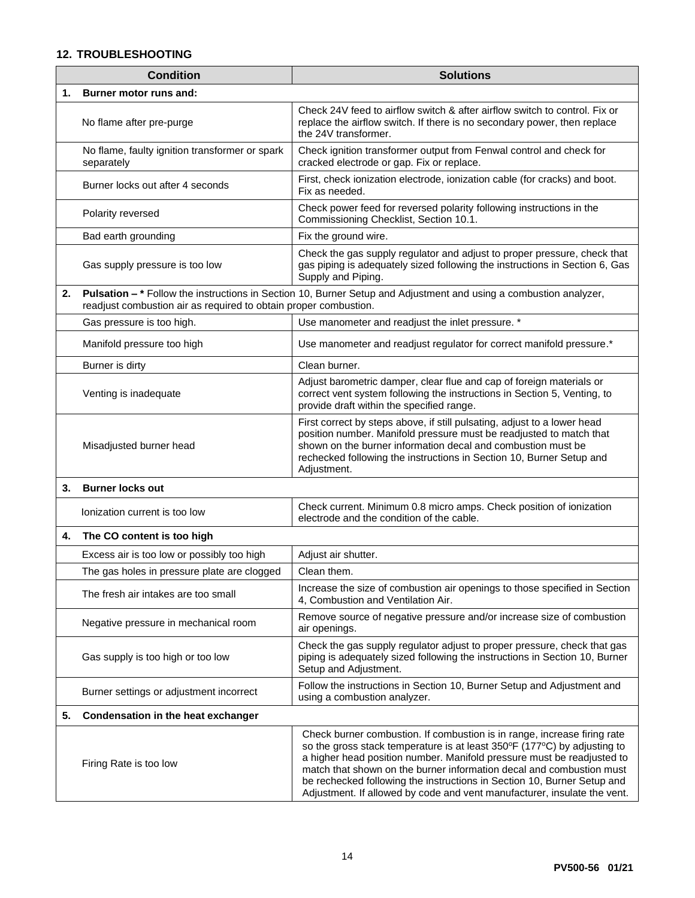#### **12. TROUBLESHOOTING**

|    | <b>Condition</b>                                                 | <b>Solutions</b>                                                                                                                                                                                                                                                                                                                                                                                                                                              |  |  |
|----|------------------------------------------------------------------|---------------------------------------------------------------------------------------------------------------------------------------------------------------------------------------------------------------------------------------------------------------------------------------------------------------------------------------------------------------------------------------------------------------------------------------------------------------|--|--|
| 1. | Burner motor runs and:                                           |                                                                                                                                                                                                                                                                                                                                                                                                                                                               |  |  |
|    | No flame after pre-purge                                         | Check 24V feed to airflow switch & after airflow switch to control. Fix or<br>replace the airflow switch. If there is no secondary power, then replace<br>the 24V transformer.                                                                                                                                                                                                                                                                                |  |  |
|    | No flame, faulty ignition transformer or spark<br>separately     | Check ignition transformer output from Fenwal control and check for<br>cracked electrode or gap. Fix or replace.                                                                                                                                                                                                                                                                                                                                              |  |  |
|    | Burner locks out after 4 seconds                                 | First, check ionization electrode, ionization cable (for cracks) and boot.<br>Fix as needed.                                                                                                                                                                                                                                                                                                                                                                  |  |  |
|    | Polarity reversed                                                | Check power feed for reversed polarity following instructions in the<br>Commissioning Checklist, Section 10.1.                                                                                                                                                                                                                                                                                                                                                |  |  |
|    | Bad earth grounding                                              | Fix the ground wire.                                                                                                                                                                                                                                                                                                                                                                                                                                          |  |  |
|    | Gas supply pressure is too low                                   | Check the gas supply regulator and adjust to proper pressure, check that<br>gas piping is adequately sized following the instructions in Section 6, Gas<br>Supply and Piping.                                                                                                                                                                                                                                                                                 |  |  |
| 2. | readjust combustion air as required to obtain proper combustion. | Pulsation - * Follow the instructions in Section 10, Burner Setup and Adjustment and using a combustion analyzer,                                                                                                                                                                                                                                                                                                                                             |  |  |
|    | Gas pressure is too high.                                        | Use manometer and readjust the inlet pressure. *                                                                                                                                                                                                                                                                                                                                                                                                              |  |  |
|    | Manifold pressure too high                                       | Use manometer and readjust regulator for correct manifold pressure.*                                                                                                                                                                                                                                                                                                                                                                                          |  |  |
|    | Burner is dirty                                                  | Clean burner.                                                                                                                                                                                                                                                                                                                                                                                                                                                 |  |  |
|    | Venting is inadequate                                            | Adjust barometric damper, clear flue and cap of foreign materials or<br>correct vent system following the instructions in Section 5, Venting, to<br>provide draft within the specified range.                                                                                                                                                                                                                                                                 |  |  |
|    | Misadjusted burner head                                          | First correct by steps above, if still pulsating, adjust to a lower head<br>position number. Manifold pressure must be readjusted to match that<br>shown on the burner information decal and combustion must be<br>rechecked following the instructions in Section 10, Burner Setup and<br>Adjustment.                                                                                                                                                        |  |  |
| 3. | <b>Burner locks out</b>                                          |                                                                                                                                                                                                                                                                                                                                                                                                                                                               |  |  |
|    | Ionization current is too low                                    | Check current. Minimum 0.8 micro amps. Check position of ionization<br>electrode and the condition of the cable.                                                                                                                                                                                                                                                                                                                                              |  |  |
| 4. | The CO content is too high                                       |                                                                                                                                                                                                                                                                                                                                                                                                                                                               |  |  |
|    | Excess air is too low or possibly too high                       | Adjust air shutter.                                                                                                                                                                                                                                                                                                                                                                                                                                           |  |  |
|    | The gas holes in pressure plate are clogged                      | Clean them.                                                                                                                                                                                                                                                                                                                                                                                                                                                   |  |  |
|    | The fresh air intakes are too small                              | Increase the size of combustion air openings to those specified in Section<br>4, Combustion and Ventilation Air.                                                                                                                                                                                                                                                                                                                                              |  |  |
|    | Negative pressure in mechanical room                             | Remove source of negative pressure and/or increase size of combustion<br>air openings.                                                                                                                                                                                                                                                                                                                                                                        |  |  |
|    | Gas supply is too high or too low                                | Check the gas supply regulator adjust to proper pressure, check that gas<br>piping is adequately sized following the instructions in Section 10, Burner<br>Setup and Adjustment.                                                                                                                                                                                                                                                                              |  |  |
|    | Burner settings or adjustment incorrect                          | Follow the instructions in Section 10, Burner Setup and Adjustment and<br>using a combustion analyzer.                                                                                                                                                                                                                                                                                                                                                        |  |  |
| 5. | Condensation in the heat exchanger                               |                                                                                                                                                                                                                                                                                                                                                                                                                                                               |  |  |
|    | Firing Rate is too low                                           | Check burner combustion. If combustion is in range, increase firing rate<br>so the gross stack temperature is at least 350°F (177°C) by adjusting to<br>a higher head position number. Manifold pressure must be readjusted to<br>match that shown on the burner information decal and combustion must<br>be rechecked following the instructions in Section 10, Burner Setup and<br>Adjustment. If allowed by code and vent manufacturer, insulate the vent. |  |  |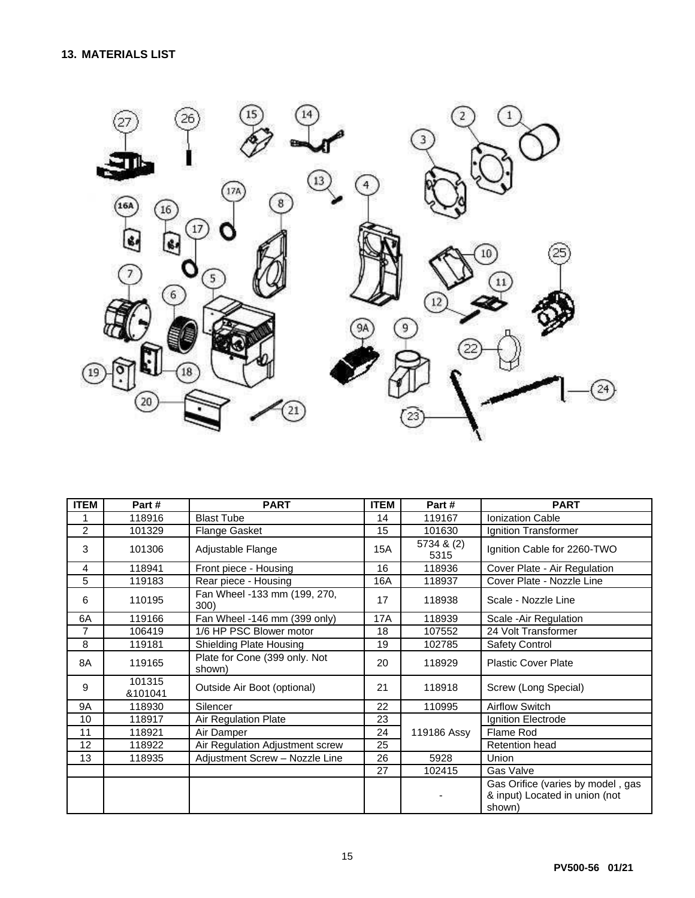

| <b>ITEM</b>    | Part#             | <b>PART</b>                             | <b>ITEM</b> | Part#              | <b>PART</b>                                                                   |
|----------------|-------------------|-----------------------------------------|-------------|--------------------|-------------------------------------------------------------------------------|
|                | 118916            | <b>Blast Tube</b>                       | 14          | 119167             | <b>Ionization Cable</b>                                                       |
| $\overline{2}$ | 101329            | Flange Gasket                           | 15          | 101630             | Ignition Transformer                                                          |
| 3              | 101306            | Adjustable Flange                       | 15A         | 5734 & (2)<br>5315 | Ignition Cable for 2260-TWO                                                   |
| 4              | 118941            | Front piece - Housing                   | 16          | 118936             | Cover Plate - Air Regulation                                                  |
| 5              | 119183            | Rear piece - Housing                    | 16A         | 118937             | Cover Plate - Nozzle Line                                                     |
| 6              | 110195            | Fan Wheel -133 mm (199, 270,<br>300)    | 17          | 118938             | Scale - Nozzle Line                                                           |
| 6A             | 119166            | Fan Wheel -146 mm (399 only)            | <b>17A</b>  | 118939             | Scale - Air Regulation                                                        |
| $\overline{7}$ | 106419            | 1/6 HP PSC Blower motor                 | 18          | 107552             | 24 Volt Transformer                                                           |
| 8              | 119181            | Shielding Plate Housing                 | 19          | 102785             | <b>Safety Control</b>                                                         |
| 8A             | 119165            | Plate for Cone (399 only. Not<br>shown) | 20          | 118929             | <b>Plastic Cover Plate</b>                                                    |
| 9              | 101315<br>&101041 | Outside Air Boot (optional)             | 21          | 118918             | Screw (Long Special)                                                          |
| 9Α             | 118930            | Silencer                                | 22          | 110995             | <b>Airflow Switch</b>                                                         |
| 10             | 118917            | Air Regulation Plate                    | 23          |                    | Ignition Electrode                                                            |
| 11             | 118921            | Air Damper                              | 24          | 119186 Assy        | Flame Rod                                                                     |
| 12             | 118922            | Air Regulation Adjustment screw         | 25          |                    | Retention head                                                                |
| 13             | 118935            | Adjustment Screw - Nozzle Line          | 26          | 5928               | Union                                                                         |
|                |                   |                                         | 27          | 102415             | Gas Valve                                                                     |
|                |                   |                                         |             |                    | Gas Orifice (varies by model, gas<br>& input) Located in union (not<br>shown) |